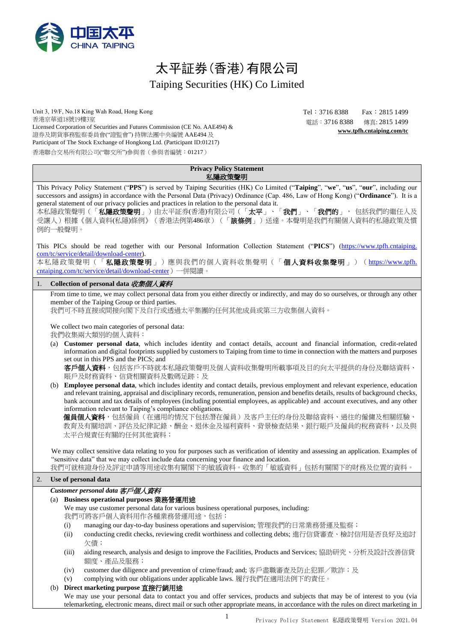

# 太平証券(香港)有限公司 Taiping Securities (HK) Co Limited

Unit 3, 19/F, No.18 King Wah Road, Hong Kong 香港京華道18號19樓3室 Licensed Corporation of Securities and Futures Commission (CE No. AAE494) & 證券及期貨事務監察委員會("證監會") 持牌法團中央編號 AAE494 及 Participant of The Stock Exchange of Hongkong Ltd. (Participant ID:01217) 香港聯合交易所有限公司("聯交所")參與者(參與者編號:01217)

Tel: 3716 8388 Fax: 2815 1499 電話:3716 8388 傳真: 2815 1499 **[www.tpfh.cntaiping.com/tc](http://www.tpfh.cntaiping.com/tc)**

| <b>Privacy Policy Statement</b> |  |
|---------------------------------|--|
| 私隱政策聲明                          |  |

<span id="page-0-0"></span>This Privacy Policy Statement ("**PPS**") is served by Taiping Securities (HK) Co Limited ("**Taiping**", "**we**", "**us**", "**our**", including our successors and assigns) in accordance with the Personal Data (Privacy) Ordinance (Cap. 486, Law of Hong Kong) ("**Ordinance**"). It is a general statement of our privacy policies and practices in relation to the personal data it. 本私隱政策聲明(「**私隱政策聲明**」)由太平証券(香港)有限公司(「**太平」、「我們」、「我們的」,**包括我們的繼任人及 受讓人)根據《個人資料(私隱)條例》(香港法例第486章)(「**該條例**」)送達。本聲明是我們有關個人資料的私隱政策及慣 例的一般聲明。 This PICs should be read together with our Personal Information Collection Statement ("**PICS**") (https://www.tpfh.cntaiping. com/tc/service/detail/download-center). 本私隱政策聲明(「私隱政策聲明」)應與我們的個人資料收集聲明(「個人資料收集聲明」)(https://www.tpfh. cntaiping.com/tc/service/detail/download-center)一併閱讀。 1. **Collection of personal data** 收集個人資料 From time to time, we may collect personal data from you either directly or indirectly, and may do so ourselves, or through any other member of the Taiping Group or third parties. 我們可不時直接或間接向閣下及自行或透過太平集團的任何其他成員或第三方收集個人資料。 We collect two main categories of personal data: 我們收集兩大類別的個人資料: (a) **Customer personal data**, which includes identity and contact details, account and financial information, credit-related information and digital footprints supplied by customers to Taiping from time to time in connection with the matters and purposes set out in this PPS and the PICS; and 客戶個人資料,包括客戶不時就本私隱政策聲明及個人資料收集聲明所載事項及目的向太平提供的身份及聯絡資料、 賬戶及財務資料、信貸相關資料及數碼足跡;及 (b) **Employee personal data**, which includes identity and contact details, previous employment and relevant experience, education and relevant training, appraisal and disciplinary records, remuneration, pension and benefits details, results of background checks, bank account and tax details of employees (including potential employees, as applicable) and account executives, and any other information relevant to Taiping's compliance obligations. **僱員個人資料**,包括僱員(在適用的情況下包括潛在僱員)及客戶主任的身份及聯絡資料、過往的僱傭及相關經驗、 教育及有關培訓、評估及紀律記錄、酬金、退休金及福利資料、背景檢查結果、銀行賬戶及僱員的稅務資料,以及與 太平合規責任有關的任何其他資料; We may collect sensitive data relating to you for purposes such as verification of identity and assessing an application. Examples of "sensitive data" that we may collect include data concerning your finance and location. 我們可就核證身份及評定申請等用途收集有關閣下的敏感資料。收集的「敏感資料」包括有關閣下的財務及位置的資料。 2. **Use of personal data** *Customer personal data* 客戶個人資料 (a) **Business operational purposes** 業務營運用途 We may use customer personal data for various business operational purposes, including: 我們可將客戶個人資料用作各種業務營運用途,包括: (i) managing our day-to-day business operations and supervision; 管理我們的日常業務營運及監察; (ii) conducting credit checks, reviewing credit worthiness and collecting debts; 進行信貸審查、檢討信用是否良好及追討 欠債; (iii) aiding research, analysis and design to improve the Facilities, Products and Services; 協助研究、分析及設計改善信貸 額度、產品及服務; (iv) customer due diligence and prevention of crime/fraud; and; 客戶盡職審查及防止犯罪/欺詐;及 (v) complying with our obligations under applicable laws. 履行我們在適用法例下的責任。 (b) **Direct marketing purpose** 直接行銷用途 We may use your personal data to contact you and offer services, products and subjects that may be of interest to you (via telemarketing, electronic means, direct mail or such other appropriate means, in accordance with the rules on direct marketing in

1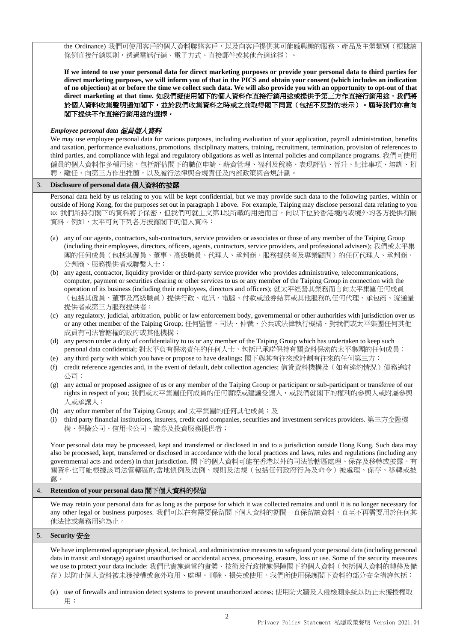the Ordinance) 我們可使用客戶的個人資料聯絡客戶,以及向客戶提供其可能感興趣的服務、產品及主體類別(根據該 條例直接行銷規則, 诱過電話行銷、電子方式、直接郵件或其他合適途徑)。

**If we intend to use your personal data for direct marketing purposes or provide your personal data to third parties for direct marketing purposes, we will inform you of that in the PICS and obtain your consent (which includes an indication of no objection) at or before the time we collect such data. We will also provide you with an opportunity to opt-out of that direct marketing at that time.** 如我們擬使用閣下的個人資料作直接行銷用途或提供予第三方作直接行銷用途,我們將 於個人資料收集聲明通知閣下,並於我們收集資料之時或之前取得閣下同意(包括不反對的表示)。屆時我們亦會向 閣下提供不作直接行銷用途的選擇。

## *Employee personal data* 僱員個人資料

We may use employee personal data for various purposes, including evaluation of your application, payroll administration, benefits and taxation, performance evaluations, promotions, disciplinary matters, training, recruitment, termination, provision of references to third parties, and compliance with legal and regulatory obligations as well as internal policies and compliance programs. 我們可使用 僱員的個人資料作多種用途,包括評估閣下的職位申請、薪資管理、福利及稅務、表現評估、晉升、紀律事項、培訓、招 聘、離任、向第三方作出推薦,以及履行法律與合規責任及內部政策與合規計劃。

## 3. **Disclosure of personal data** 個人資料的披露

Personal data held by us relating to you will be kept confidential, but we may provide such data to the following parties, within or outside of Hong Kong, for the purposes set out in paragrap[h 1](#page-0-0) above. For example, Taiping may disclose personal data relating to you to: 我們所持有閣下的資料將予保密,但我們可就上文第1段所載的用途而言,向以下位於香港境內或境外的各方提供有關 資料。例如,太平可向下列各方披露閣下的個人資料:

- (a) any of our agents, contractors, sub-contractors, service providers or associates or those of any member of the Taiping Group (including their employees, directors, officers, agents, contractors, service providers, and professional advisers); 我們或太平集 團的任何成員(包括其僱員、董事、高級職員、代理人、承判商、服務提供者及專業顧問)的任何代理人、承判商、 分判商、服務提供者或聯繫人士;
- (b) any agent, contractor, liquidity provider or third-party service provider who provides administrative, telecommunications, computer, payment or securities clearing or other services to us or any member of the Taiping Group in connection with the operation of its business (including their employees, directors and officers); 就太平經營其業務而言向太平集團任何成員 (包括其僱員、董事及高級職員)提供行政、電訊、電腦、付款或證券結算或其他服務的任何代理、承包商、流通量 提供者或第三方服務提供者;
- (c) any regulatory, judicial, arbitration, public or law enforcement body, governmental or other authorities with jurisdiction over us or any other member of the Taiping Group; 任何監管、司法、仲裁、公共或法律執行機構、對我們或太平集團任何其他 成員有司法管轄權的政府或其他機構;
- (d) any person under a duty of confidentiality to us or any member of the Taiping Group which has undertaken to keep such personal data confidential; 對太平負有保密責任的任何人士, 包括已承諾保持有關資料保密的太平集團的任何成員;
- (e) any third party with which you have or propose to have dealings; 閣下與其有往來或計劃有往來的任何第三方;
- (f) credit reference agencies and, in the event of default, debt collection agencies; 信貸資料機構及(如有違約情況)債務追討 公司;
- (g) any actual or proposed assignee of us or any member of the Taiping Group or participant or sub-participant or transferee of our rights in respect of you; 我們或太平集團任何成員的任何實際或建議受讓人, 或我們就閣下的權利的參與人或附屬參與 人或承讓人;
- (h) any other member of the Taiping Group; and 太平集團的任何其他成員;及
- (i) third party financial institutions, insurers, credit card companies, securities and investment services providers. 第三方金融機 構、保險公司、信用卡公司、證券及投資服務提供者;

Your personal data may be processed, kept and transferred or disclosed in and to a jurisdiction outside Hong Kong. Such data may also be processed, kept, transferred or disclosed in accordance with the local practices and laws, rules and regulations (including any governmental acts and orders) in that jurisdiction. 閣下的個人資料可能在香港以外的司法管轄區處理、保存及移轉或披露。有 關資料也可能根據該司法管轄區的當地慣例及法例、規則及法規(包括任何政府行為及命令)被處理、保存、移轉或披 露。

## 4. **Retention of your personal data** 閣下個人資料的保留

We may retain your personal data for as long as the purpose for which it was collected remains and until it is no longer necessary for any other legal or business purposes. 我們可以在有需要保留閣下個人資料的期間一直保留該資料, 直至不再需要用於任何其 他法律或業務用途為止。

## 5. **Security** 安全

We have implemented appropriate physical, technical, and administrative measures to safeguard your personal data (including personal data in transit and storage) against unauthorised or accidental access, processing, erasure, loss or use. Some of the security measures we use to protect your data include: 我們已實施適當的實體、技術及行政措施保障閣下的個人資料(包括個人資料的轉移及儲 存)以防止個人資料被未獲授權或意外取用、處理、刪除、損失或使用。我們所使用保護閣下資料的部分安全措施包括:

(a) use of firewalls and intrusion detect systems to prevent unauthorized access; 使用防火牆及入侵檢測系統以防止未獲授權取 用;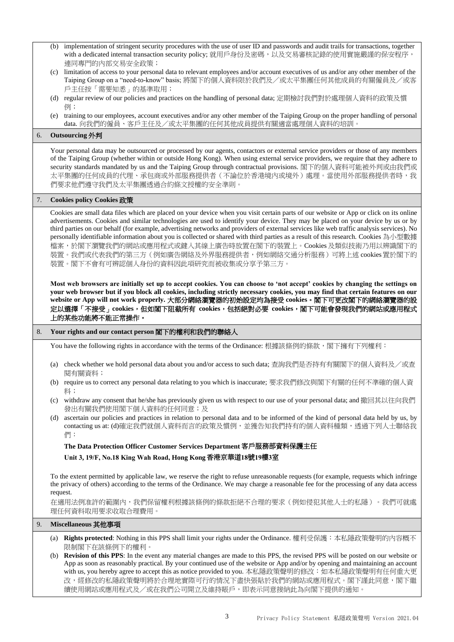- (b) implementation of stringent security procedures with the use of user ID and passwords and audit trails for transactions, together with a dedicated internal transaction security policy; 就用戶身份及密碼, 以及交易審核記錄的使用實施嚴謹的保安程序, 連同專門的內部交易安全政策;
- (c) limitation of access to your personal data to relevant employees and/or account executives of us and/or any other member of the Taiping Group on a "need-to-know" basis; 將閣下的個人資料限於我們及/或太平集團任何其他成員的有關僱員及/或客 戶主任按「需要知悉」的基準取用;
- (d) regular review of our policies and practices on the handling of personal data; 定期檢討我們對於處理個人資料的政策及慣 例;
- (e) training to our employees, account executives and/or any other member of the Taiping Group on the proper handling of personal data. 向我們的僱員、客戶主任及/或太平集團的任何其他成員提供有關適當處理個人資料的培訓。

## 6. **Outsourcing** 外判

Your personal data may be outsourced or processed by our agents, contactors or external service providers or those of any members of the Taiping Group (whether within or outside Hong Kong). When using external service providers, we require that they adhere to security standards mandated by us and the Taiping Group through contractual provisions. 閣下的個人資料可能被外判或由我們或 太平集團的任何成員的代理、承包商或外部服務提供者(不論位於香港境內或境外)處理。當使用外部服務提供者時,我 們要求他們遵守我們及太平集團透過合約條文授權的安全準則。

## 7. **Cookies policy Cookies** 政策

Cookies are small data files which are placed on your device when you visit certain parts of our website or App or click on its online advertisements. Cookies and similar technologies are used to identify your device. They may be placed on your device by us or by third parties on our behalf (for example, advertising networks and providers of external services like web traffic analysis services). No personally identifiable information about you is collected or shared with third parties as a result of this research. Cookies 為小型數據 檔案,於閣下瀏覽我們的網站或應用程式或鍵入其線上廣告時放置在閣下的裝置上。Cookies 及類似技術乃用以辨識閣下的 裝置。我們或代表我們的第三方(例如廣告網絡及外界服務提供者,例如網絡交通分析服務)可將上述 cookies 置於閣下的 裝置。閣下不會有可辨認個人身份的資料因此項研究而被收集或分享予第三方。

**Most web browsers are initially set up to accept cookies. You can choose to 'not accept' cookies by changing the settings on your web browser but if you block all cookies, including strictly necessary cookies, you may find that certain features on our website or App will not work properly.** 大部分網絡瀏覽器的初始設定均為接受 **cookies**。閣下可更改閣下的網絡瀏覽器的設 定以選擇「不接受」**cookies**,但如閣下阻截所有 **cookies**,包括絕對必要 **cookies**,閣下可能會發現我們的網站或應用程式 上的某些功能將不能正常操作。

## 8. **Your rights and our contact person** 閣下的權利和我們的聯絡人

You have the following rights in accordance with the terms of the Ordinance: 根據該條例的條款,閣下擁有下列權利:

- (a) check whether we hold personal data about you and/or access to such data; 查詢我們是否持有有關閣下的個人資料及/或查 閱有關資料;
- (b) require us to correct any personal data relating to you which is inaccurate; 要求我們修改與閣下有關的任何不準確的個人資 料;
- (c) withdraw any consent that he/she has previously given us with respect to our use of your personal data; and 撤回其以往向我們 發出有關我們使用閣下個人資料的任何同意;及
- (d) ascertain our policies and practices in relation to personal data and to be informed of the kind of personal data held by us, by contacting us at: (d)確定我們就個人資料而言的政策及慣例,並獲告知我們持有的個人資料種類,透過下列人士聯絡我 們:

# **The Data Protection Officer Customer Services Department** 客戶服務部資料保護主任 **Unit 3, 19/F, No.18 King Wah Road, Hong Kong** 香港京華道**18**號**19**樓**3**室

To the extent permitted by applicable law, we reserve the right to refuse unreasonable requests (for example, requests which infringe the privacy of others) according to the terms of the Ordinance. We may charge a reasonable fee for the processing of any data access request.

在適用法例准許的範圍內,我們保留權利根據該條例的條款拒絕不合理的要求(例如侵犯其他人士的私隱)。我們可就處 理任何資料取用要求收取合理費用。

## 9. **Miscellaneous** 其他事項

- (a) **Rights protected**: Nothing in this PPS shall limit your rights under the Ordinance. 權利受保護:本私隱政策聲明的內容概不 限制閣下在該條例下的權利。
- (b) **Revision of this PPS**: In the event any material changes are made to this PPS, the revised PPS will be posted on our website or App as soon as reasonably practical. By your continued use of the website or App and/or by opening and maintaining an account with us, you hereby agree to accept this as notice provided to you. 本私隱政策聲明的修改: 如本私隱政策聲明有任何重大更 改,經修改的私隱政策聲明將於合理地實際可行的情況下盡快張貼於我們的網站或應用程式。閣下謹此同意,閣下繼 續使用網站或應用程式及/或在我們公司開立及維持賬戶,即表示同意接納此為向閣下提供的通知。